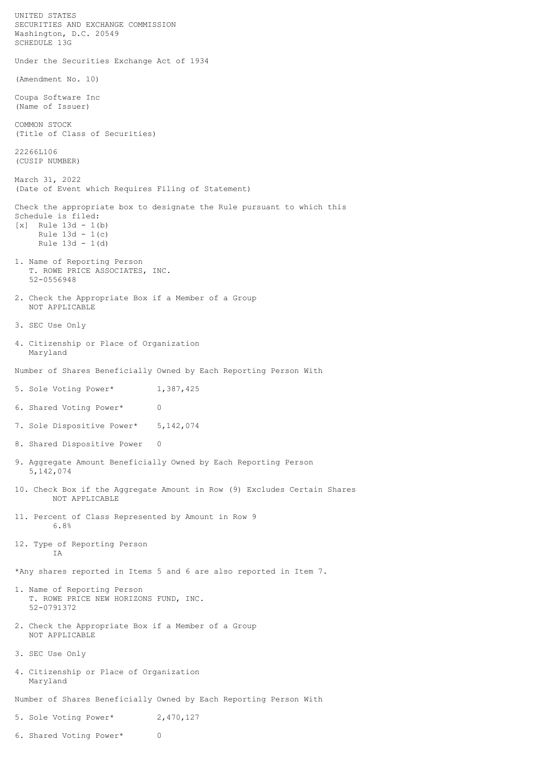UNITED STATES SECURITIES AND EXCHANGE COMMISSION Washington, D.C. 20549 SCHEDULE 13G Under the Securities Exchange Act of 1934 (Amendment No. 10) Coupa Software Inc (Name of Issuer) COMMON STOCK (Title of Class of Securities) 22266L106 (CUSIP NUMBER) March 31, 2022 (Date of Event which Requires Filing of Statement) Check the appropriate box to designate the Rule pursuant to which this Schedule is filed:  $[x]$  Rule 13d - 1(b) Rule  $13d - 1(c)$  Rule 13d - 1(d) 1. Name of Reporting Person T. ROWE PRICE ASSOCIATES, INC. 52-0556948 2. Check the Appropriate Box if a Member of a Group NOT APPLICABLE 3. SEC Use Only 4. Citizenship or Place of Organization Maryland Number of Shares Beneficially Owned by Each Reporting Person With 5. Sole Voting Power\* 1,387,425 6. Shared Voting Power\* 0 7. Sole Dispositive Power\* 5, 142, 074 8. Shared Dispositive Power 0 9. Aggregate Amount Beneficially Owned by Each Reporting Person 5,142,074 10. Check Box if the Aggregate Amount in Row (9) Excludes Certain Shares NOT APPLICABLE 11. Percent of Class Represented by Amount in Row 9 6.8% 12. Type of Reporting Person IA \*Any shares reported in Items 5 and 6 are also reported in Item 7. 1. Name of Reporting Person T. ROWE PRICE NEW HORIZONS FUND, INC. 52-0791372 2. Check the Appropriate Box if a Member of a Group NOT APPLICABLE 3. SEC Use Only 4. Citizenship or Place of Organization Maryland Number of Shares Beneficially Owned by Each Reporting Person With 5. Sole Voting Power\* 2,470,127

6. Shared Voting Power\* 0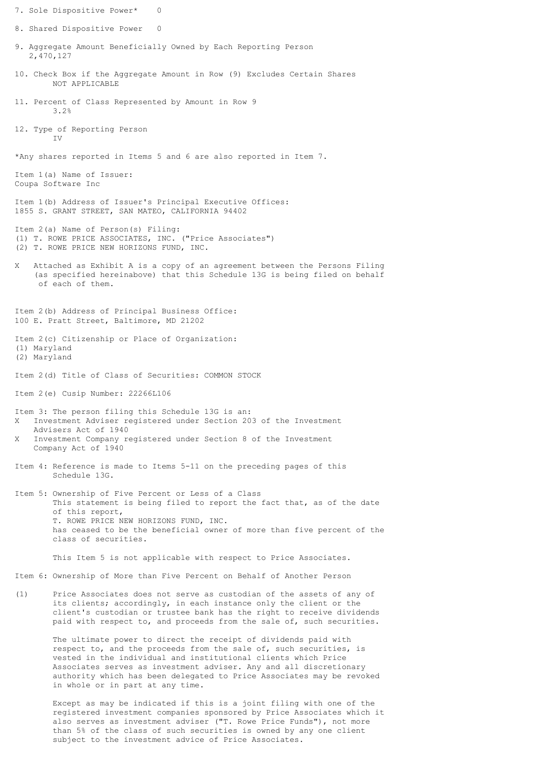7. Sole Dispositive Power\* 8. Shared Dispositive Power 0 9. Aggregate Amount Beneficially Owned by Each Reporting Person 2,470,127 10. Check Box if the Aggregate Amount in Row (9) Excludes Certain Shares NOT APPLICABLE 11. Percent of Class Represented by Amount in Row 9 3.2% 12. Type of Reporting Person  $TVI$ \*Any shares reported in Items 5 and 6 are also reported in Item 7. Item 1(a) Name of Issuer: Coupa Software Inc Item 1(b) Address of Issuer's Principal Executive Offices: 1855 S. GRANT STREET, SAN MATEO, CALIFORNIA 94402 Item 2(a) Name of Person(s) Filing: (1) T. ROWE PRICE ASSOCIATES, INC. ("Price Associates") (2) T. ROWE PRICE NEW HORIZONS FUND, INC. X Attached as Exhibit A is a copy of an agreement between the Persons Filing (as specified hereinabove) that this Schedule 13G is being filed on behalf of each of them. Item 2(b) Address of Principal Business Office: 100 E. Pratt Street, Baltimore, MD 21202 Item 2(c) Citizenship or Place of Organization: (1) Maryland (2) Maryland Item 2(d) Title of Class of Securities: COMMON STOCK Item 2(e) Cusip Number: 22266L106 Item 3: The person filing this Schedule 13G is an: X Investment Adviser registered under Section 203 of the Investment Advisers Act of 1940 X Investment Company registered under Section 8 of the Investment Company Act of 1940 Item 4: Reference is made to Items 5-11 on the preceding pages of this Schedule 13G. Item 5: Ownership of Five Percent or Less of a Class This statement is being filed to report the fact that, as of the date of this report, T. ROWE PRICE NEW HORIZONS FUND, INC. has ceased to be the beneficial owner of more than five percent of the class of securities. This Item 5 is not applicable with respect to Price Associates. Item 6: Ownership of More than Five Percent on Behalf of Another Person (1) Price Associates does not serve as custodian of the assets of any of its clients; accordingly, in each instance only the client or the client's custodian or trustee bank has the right to receive dividends paid with respect to, and proceeds from the sale of, such securities. The ultimate power to direct the receipt of dividends paid with respect to, and the proceeds from the sale of, such securities, is vested in the individual and institutional clients which Price Associates serves as investment adviser. Any and all discretionary authority which has been delegated to Price Associates may be revoked in whole or in part at any time.

> Except as may be indicated if this is a joint filing with one of the registered investment companies sponsored by Price Associates which it also serves as investment adviser ("T. Rowe Price Funds"), not more than 5% of the class of such securities is owned by any one client subject to the investment advice of Price Associates.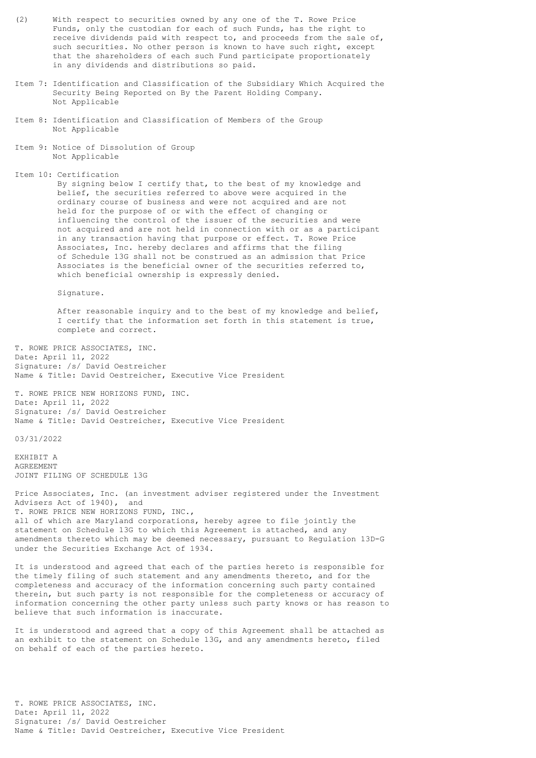- (2) With respect to securities owned by any one of the T. Rowe Price Funds, only the custodian for each of such Funds, has the right to receive dividends paid with respect to, and proceeds from the sale of, such securities. No other person is known to have such right, except that the shareholders of each such Fund participate proportionately in any dividends and distributions so paid.
- Item 7: Identification and Classification of the Subsidiary Which Acquired the Security Being Reported on By the Parent Holding Company. Not Applicable
- Item 8: Identification and Classification of Members of the Group Not Applicable
- Item 9: Notice of Dissolution of Group Not Applicable
- Item 10: Certification

 By signing below I certify that, to the best of my knowledge and belief, the securities referred to above were acquired in the ordinary course of business and were not acquired and are not held for the purpose of or with the effect of changing or influencing the control of the issuer of the securities and were not acquired and are not held in connection with or as a participant in any transaction having that purpose or effect. T. Rowe Price Associates, Inc. hereby declares and affirms that the filing of Schedule 13G shall not be construed as an admission that Price Associates is the beneficial owner of the securities referred to, which beneficial ownership is expressly denied.

Signature.

 After reasonable inquiry and to the best of my knowledge and belief, I certify that the information set forth in this statement is true, complete and correct.

T. ROWE PRICE ASSOCIATES, INC. Date: April 11, 2022 Signature: /s/ David Oestreicher Name & Title: David Oestreicher, Executive Vice President

T. ROWE PRICE NEW HORIZONS FUND, INC. Date: April 11, 2022 Signature: /s/ David Oestreicher Name & Title: David Oestreicher, Executive Vice President

03/31/2022

EXHIBIT A AGREEMENT JOINT FILING OF SCHEDULE 13G

Price Associates, Inc. (an investment adviser registered under the Investment Advisers Act of 1940), and T. ROWE PRICE NEW HORIZONS FUND, INC., all of which are Maryland corporations, hereby agree to file jointly the statement on Schedule 13G to which this Agreement is attached, and any amendments thereto which may be deemed necessary, pursuant to Regulation 13D-G under the Securities Exchange Act of 1934.

It is understood and agreed that each of the parties hereto is responsible for the timely filing of such statement and any amendments thereto, and for the completeness and accuracy of the information concerning such party contained therein, but such party is not responsible for the completeness or accuracy of information concerning the other party unless such party knows or has reason to believe that such information is inaccurate.

It is understood and agreed that a copy of this Agreement shall be attached as an exhibit to the statement on Schedule 13G, and any amendments hereto, filed on behalf of each of the parties hereto.